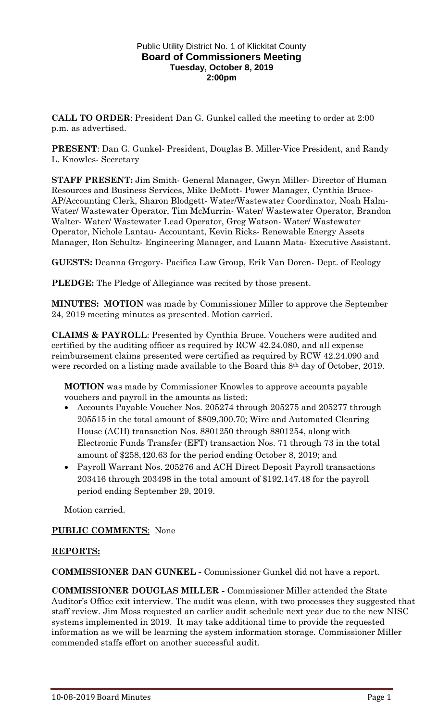#### Public Utility District No. 1 of Klickitat County **Board of Commissioners Meeting Tuesday, October 8, 2019 2:00pm**

**CALL TO ORDER**: President Dan G. Gunkel called the meeting to order at 2:00 p.m. as advertised.

**PRESENT**: Dan G. Gunkel- President, Douglas B. Miller-Vice President, and Randy L. Knowles- Secretary

**STAFF PRESENT:** Jim Smith- General Manager, Gwyn Miller- Director of Human Resources and Business Services, Mike DeMott- Power Manager, Cynthia Bruce-AP/Accounting Clerk, Sharon Blodgett- Water/Wastewater Coordinator, Noah Halm-Water/ Wastewater Operator, Tim McMurrin- Water/ Wastewater Operator, Brandon Walter- Water/ Wastewater Lead Operator, Greg Watson- Water/ Wastewater Operator, Nichole Lantau- Accountant, Kevin Ricks- Renewable Energy Assets Manager, Ron Schultz- Engineering Manager, and Luann Mata- Executive Assistant.

**GUESTS:** Deanna Gregory- Pacifica Law Group, Erik Van Doren- Dept. of Ecology

**PLEDGE:** The Pledge of Allegiance was recited by those present.

**MINUTES: MOTION** was made by Commissioner Miller to approve the September 24, 2019 meeting minutes as presented. Motion carried.

**CLAIMS & PAYROLL**: Presented by Cynthia Bruce. Vouchers were audited and certified by the auditing officer as required by RCW 42.24.080, and all expense reimbursement claims presented were certified as required by RCW 42.24.090 and were recorded on a listing made available to the Board this 8th day of October, 2019.

**MOTION** was made by Commissioner Knowles to approve accounts payable vouchers and payroll in the amounts as listed:

- Accounts Payable Voucher Nos. 205274 through 205275 and 205277 through 205515 in the total amount of \$809,300.70; Wire and Automated Clearing House (ACH) transaction Nos. 8801250 through 8801254, along with Electronic Funds Transfer (EFT) transaction Nos. 71 through 73 in the total amount of \$258,420.63 for the period ending October 8, 2019; and
- Payroll Warrant Nos. 205276 and ACH Direct Deposit Payroll transactions 203416 through 203498 in the total amount of \$192,147.48 for the payroll period ending September 29, 2019.

Motion carried.

### **PUBLIC COMMENTS**: None

### **REPORTS:**

**COMMISSIONER DAN GUNKEL -** Commissioner Gunkel did not have a report.

**COMMISSIONER DOUGLAS MILLER -** Commissioner Miller attended the State Auditor's Office exit interview. The audit was clean, with two processes they suggested that staff review. Jim Moss requested an earlier audit schedule next year due to the new NISC systems implemented in 2019. It may take additional time to provide the requested information as we will be learning the system information storage. Commissioner Miller commended staffs effort on another successful audit.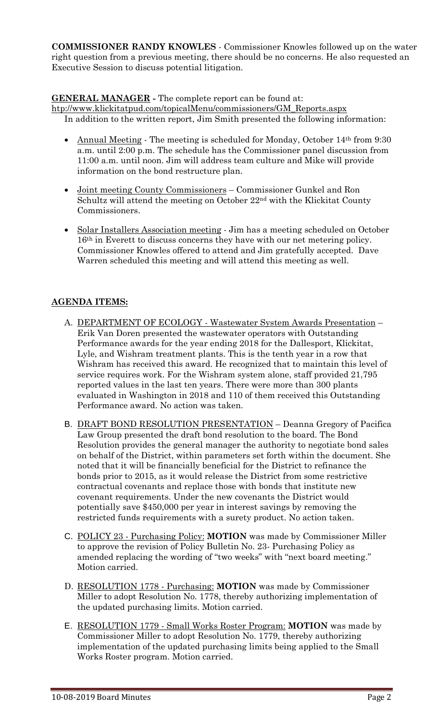**COMMISSIONER RANDY KNOWLES** - Commissioner Knowles followed up on the water right question from a previous meeting, there should be no concerns. He also requested an Executive Session to discuss potential litigation.

# **GENERAL MANAGER -** The complete report can be found at:

[htp://www.klickitatpud.com/topicalMenu/commissioners/GM\\_Reports.aspx](http://www.klickitatpud.com/topicalMenu/commissioners/GM_Reports.aspx) In addition to the written report, Jim Smith presented the following information:

- Annual Meeting The meeting is scheduled for Monday, October 14<sup>th</sup> from 9:30 a.m. until 2:00 p.m. The schedule has the Commissioner panel discussion from 11:00 a.m. until noon. Jim will address team culture and Mike will provide information on the bond restructure plan.
- Joint meeting County Commissioners Commissioner Gunkel and Ron Schultz will attend the meeting on October 22nd with the Klickitat County Commissioners.
- Solar Installers Association meeting Jim has a meeting scheduled on October 16th in Everett to discuss concerns they have with our net metering policy. Commissioner Knowles offered to attend and Jim gratefully accepted. Dave Warren scheduled this meeting and will attend this meeting as well.

## **AGENDA ITEMS:**

- A. DEPARTMENT OF ECOLOGY Wastewater System Awards Presentation Erik Van Doren presented the wastewater operators with Outstanding Performance awards for the year ending 2018 for the Dallesport, Klickitat, Lyle, and Wishram treatment plants. This is the tenth year in a row that Wishram has received this award. He recognized that to maintain this level of service requires work. For the Wishram system alone, staff provided 21,795 reported values in the last ten years. There were more than 300 plants evaluated in Washington in 2018 and 110 of them received this Outstanding Performance award. No action was taken.
- B. DRAFT BOND RESOLUTION PRESENTATION Deanna Gregory of Pacifica Law Group presented the draft bond resolution to the board. The Bond Resolution provides the general manager the authority to negotiate bond sales on behalf of the District, within parameters set forth within the document. She noted that it will be financially beneficial for the District to refinance the bonds prior to 2015, as it would release the District from some restrictive contractual covenants and replace those with bonds that institute new covenant requirements. Under the new covenants the District would potentially save \$450,000 per year in interest savings by removing the restricted funds requirements with a surety product. No action taken.
- C. POLICY 23 Purchasing Policy: **MOTION** was made by Commissioner Miller to approve the revision of Policy Bulletin No. 23- Purchasing Policy as amended replacing the wording of "two weeks" with "next board meeting." Motion carried.
- D. RESOLUTION 1778 Purchasing: **MOTION** was made by Commissioner Miller to adopt Resolution No. 1778, thereby authorizing implementation of the updated purchasing limits. Motion carried.
- E. RESOLUTION 1779 Small Works Roster Program: **MOTION** was made by Commissioner Miller to adopt Resolution No. 1779, thereby authorizing implementation of the updated purchasing limits being applied to the Small Works Roster program. Motion carried.